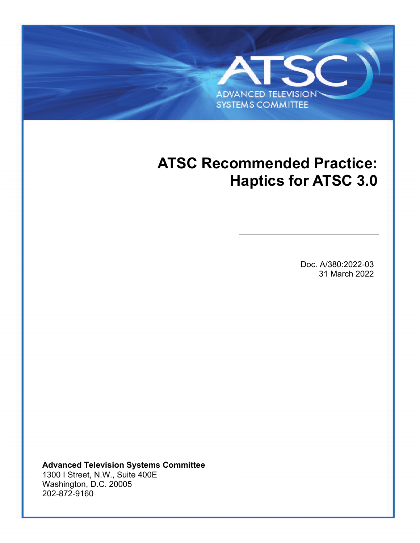# <span id="page-0-2"></span>**ATSC Recommended Practice: Haptics for ATSC 3.0**

**ADVANCED TELEVISION SYSTEMS COMMITTEE** 

ATSC A/380:2022-03 Haptics for ATSC 3.0 [31 March 2022](#page-0-0)-03 Haptics for ATSC 3.0 31 March 2022-03

<span id="page-0-1"></span><span id="page-0-0"></span>Doc. A/380:2022-03 31 March 2022

**Advanced Television Systems Committee** 1300 I Street, N.W., Suite 400E Washington, D.C. 20005 202-872-9160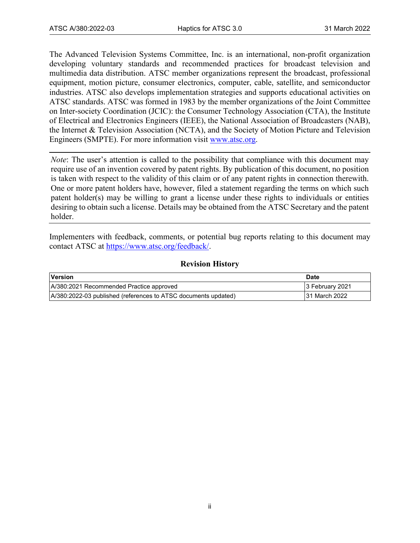The Advanced Television Systems Committee, Inc. is an international, non-profit organization developing voluntary standards and recommended practices for broadcast television and multimedia data distribution. ATSC member organizations represent the broadcast, professional equipment, motion picture, consumer electronics, computer, cable, satellite, and semiconductor industries. ATSC also develops implementation strategies and supports educational activities on ATSC standards. ATSC was formed in 1983 by the member organizations of the Joint Committee on Inter-society Coordination (JCIC): the Consumer Technology Association (CTA), the Institute of Electrical and Electronics Engineers (IEEE), the National Association of Broadcasters (NAB), the Internet & Television Association (NCTA), and the Society of Motion Picture and Television Engineers (SMPTE). For more information visit [www.atsc.org.](http://www.atsc.org/)

*Note*: The user's attention is called to the possibility that compliance with this document may require use of an invention covered by patent rights. By publication of this document, no position is taken with respect to the validity of this claim or of any patent rights in connection therewith. One or more patent holders have, however, filed a statement regarding the terms on which such patent holder(s) may be willing to grant a license under these rights to individuals or entities desiring to obtain such a license. Details may be obtained from the ATSC Secretary and the patent holder.

Implementers with feedback, comments, or potential bug reports relating to this document may contact ATSC at [https://www.atsc.org/feedback/.](https://www.atsc.org/feedback/)

## **Revision History**

| Version                                                        | <b>Date</b>          |
|----------------------------------------------------------------|----------------------|
| A/380:2021 Recommended Practice approved                       | 3 February 2021      |
| A/380:2022-03 published (references to ATSC documents updated) | <b>31 March 2022</b> |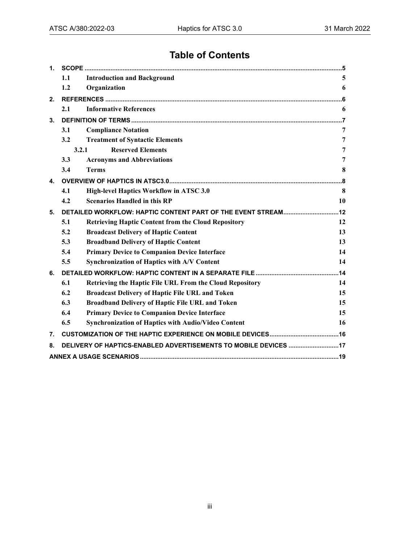## **Table of Contents**

| 1.                                |     |                                                                 |    |
|-----------------------------------|-----|-----------------------------------------------------------------|----|
|                                   | 1.1 | <b>Introduction and Background</b>                              |    |
|                                   | 1.2 | Organization                                                    | 6  |
| 2.                                |     |                                                                 |    |
|                                   | 2.1 | <b>Informative References</b>                                   | 6  |
| 3.                                |     |                                                                 |    |
|                                   | 3.1 | <b>Compliance Notation</b>                                      | 7  |
|                                   | 3.2 | <b>Treatment of Syntactic Elements</b>                          | 7  |
| <b>Reserved Elements</b><br>3.2.1 |     |                                                                 | 7  |
|                                   | 3.3 | <b>Acronyms and Abbreviations</b>                               | 7  |
|                                   | 3.4 | <b>Terms</b>                                                    | 8  |
| 4.                                |     |                                                                 |    |
|                                   | 4.1 | High-level Haptics Workflow in ATSC 3.0                         | 8  |
|                                   | 4.2 | <b>Scenarios Handled in this RP</b>                             | 10 |
| 5.                                |     | DETAILED WORKFLOW: HAPTIC CONTENT PART OF THE EVENT STREAM 12   |    |
|                                   | 5.1 | <b>Retrieving Haptic Content from the Cloud Repository</b>      | 12 |
|                                   | 5.2 | <b>Broadcast Delivery of Haptic Content</b>                     | 13 |
|                                   | 5.3 | <b>Broadband Delivery of Haptic Content</b>                     | 13 |
|                                   | 5.4 | <b>Primary Device to Companion Device Interface</b>             | 14 |
|                                   | 5.5 | <b>Synchronization of Haptics with A/V Content</b>              | 14 |
| 6.                                |     |                                                                 |    |
|                                   | 6.1 | Retrieving the Haptic File URL From the Cloud Repository        | 14 |
|                                   | 6.2 | <b>Broadcast Delivery of Haptic File URL and Token</b>          | 15 |
|                                   | 6.3 | Broadband Delivery of Haptic File URL and Token                 | 15 |
|                                   | 6.4 | <b>Primary Device to Companion Device Interface</b>             | 15 |
|                                   | 6.5 | <b>Synchronization of Haptics with Audio/Video Content</b>      | 16 |
| 7.                                |     |                                                                 |    |
| 8.                                |     | DELIVERY OF HAPTICS-ENABLED ADVERTISEMENTS TO MOBILE DEVICES 17 |    |
|                                   |     |                                                                 |    |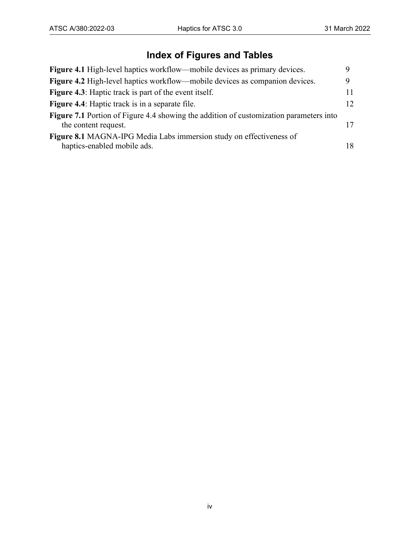## **Index of Figures and Tables**

| <b>Figure 4.1</b> High-level haptics workflow—mobile devices as primary devices.              |    |
|-----------------------------------------------------------------------------------------------|----|
| Figure 4.2 High-level haptics workflow—mobile devices as companion devices.                   |    |
| Figure 4.3: Haptic track is part of the event itself.                                         | 11 |
| Figure 4.4: Haptic track is in a separate file.                                               | 12 |
| <b>Figure 7.1</b> Portion of Figure 4.4 showing the addition of customization parameters into |    |
| the content request.                                                                          | 17 |
| Figure 8.1 MAGNA-IPG Media Labs immersion study on effectiveness of                           |    |
| haptics-enabled mobile ads.                                                                   | 18 |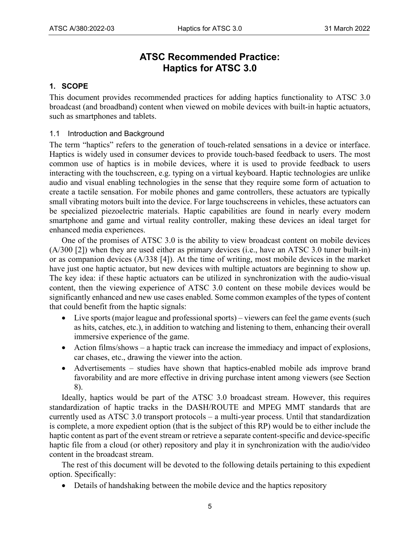## **ATSC Recommended Practice: [Haptics for ATSC 3.0](#page-0-2)**

## <span id="page-4-0"></span>**1. SCOPE**

This document provides recommended practices for adding haptics functionality to ATSC 3.0 broadcast (and broadband) content when viewed on mobile devices with built-in haptic actuators, such as smartphones and tablets.

#### <span id="page-4-1"></span>1.1 Introduction and Background

The term "haptics" refers to the generation of touch-related sensations in a device or interface. Haptics is widely used in consumer devices to provide touch-based feedback to users. The most common use of haptics is in mobile devices, where it is used to provide feedback to users interacting with the touchscreen, e.g. typing on a virtual keyboard. Haptic technologies are unlike audio and visual enabling technologies in the sense that they require some form of actuation to create a tactile sensation. For mobile phones and game controllers, these actuators are typically small vibrating motors built into the device. For large touchscreens in vehicles, these actuators can be specialized piezoelectric materials. Haptic capabilities are found in nearly every modern smartphone and game and virtual reality controller, making these devices an ideal target for enhanced media experiences.

One of the promises of ATSC 3.0 is the ability to view broadcast content on mobile devices (A/300 [\[2\]\)](#page-5-3) when they are used either as primary devices (i.e., have an ATSC 3.0 tuner built-in) or as companion devices (A/338 [\[4\]\)](#page-5-4). At the time of writing, most mobile devices in the market have just one haptic actuator, but new devices with multiple actuators are beginning to show up. The key idea: if these haptic actuators can be utilized in synchronization with the audio-visual content, then the viewing experience of ATSC 3.0 content on these mobile devices would be significantly enhanced and new use cases enabled. Some common examples of the types of content that could benefit from the haptic signals:

- Live sports (major league and professional sports) viewers can feel the game events (such as hits, catches, etc.), in addition to watching and listening to them, enhancing their overall immersive experience of the game.
- Action films/shows a haptic track can increase the immediacy and impact of explosions, car chases, etc., drawing the viewer into the action.
- Advertisements studies have shown that haptics-enabled mobile ads improve brand favorability and are more effective in driving purchase intent among viewers (see Section [8\)](#page-16-0).

Ideally, haptics would be part of the ATSC 3.0 broadcast stream. However, this requires standardization of haptic tracks in the DASH/ROUTE and MPEG MMT standards that are currently used as ATSC 3.0 transport protocols – a multi-year process. Until that standardization is complete, a more expedient option (that is the subject of this RP) would be to either include the haptic content as part of the event stream or retrieve a separate content-specific and device-specific haptic file from a cloud (or other) repository and play it in synchronization with the audio/video content in the broadcast stream.

The rest of this document will be devoted to the following details pertaining to this expedient option. Specifically:

• Details of handshaking between the mobile device and the haptics repository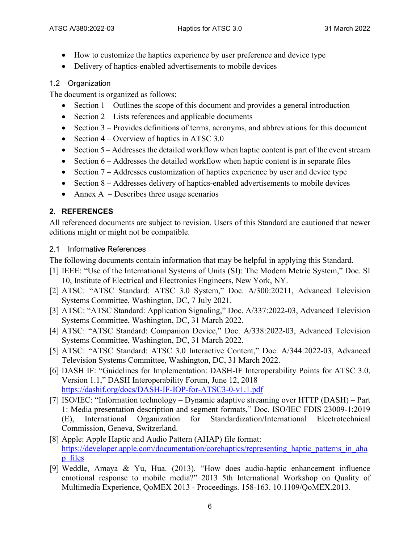- How to customize the haptics experience by user preference and device type
- Delivery of haptics-enabled advertisements to mobile devices

## <span id="page-5-0"></span>1.2 Organization

The document is organized as follows:

- Section  $1 -$  Outlines the scope of this document and provides a general introduction
- Section  $2 -$  Lists references and applicable documents
- Section [3](#page-6-0) Provides definitions of terms, acronyms, and abbreviations for this document
- Section  $4 -$  Overview of haptics in ATSC 3.0
- Section [5](#page-11-0) Addresses the detailed workflow when haptic content is part of the event stream
- Section  $6 -$  Addresses the detailed workflow when haptic content is in separate files
- Section [7](#page-15-1) Addresses customization of haptics experience by user and device type
- Section [8](#page-16-0) Addresses delivery of haptics-enabled advertisements to mobile devices
- <span id="page-5-5"></span>• Annex  $A - Describes three usage scenarios$

## <span id="page-5-1"></span>**2. REFERENCES**

All referenced documents are subject to revision. Users of this Standard are cautioned that newer editions might or might not be compatible.

## <span id="page-5-2"></span>2.1 Informative References

The following documents contain information that may be helpful in applying this Standard.

- [1] IEEE: "Use of the International Systems of Units (SI): The Modern Metric System," Doc. SI 10, Institute of Electrical and Electronics Engineers, New York, NY.
- <span id="page-5-3"></span>[2] ATSC: "ATSC Standard: ATSC 3.0 System," Doc. A/300:20211, Advanced Television Systems Committee, Washington, DC, 7 July 2021.
- <span id="page-5-9"></span>[3] ATSC: "ATSC Standard: Application Signaling," Doc. A/337:2022-03, Advanced Television Systems Committee, Washington, DC, 31 March 2022.
- <span id="page-5-4"></span>[4] ATSC: "ATSC Standard: Companion Device," Doc. A/338:2022-03, Advanced Television Systems Committee, Washington, DC, 31 March 2022.
- <span id="page-5-6"></span>[5] ATSC: "ATSC Standard: ATSC 3.0 Interactive Content," Doc. A/344:2022-03, Advanced Television Systems Committee, Washington, DC, 31 March 2022.
- <span id="page-5-8"></span>[6] DASH IF: "Guidelines for Implementation: DASH-IF Interoperability Points for ATSC 3.0, Version 1.1," DASH Interoperability Forum, June 12, 2018 <https://dashif.org/docs/DASH-IF-IOP-for-ATSC3-0-v1.1.pdf>
- <span id="page-5-10"></span>[7] ISO/IEC: "Information technology – Dynamic adaptive streaming over HTTP (DASH) – Part 1: Media presentation description and segment formats," Doc. ISO/IEC FDIS 23009-1:2019 (E), International Organization for Standardization/International Electrotechnical Commission, Geneva, Switzerland.
- <span id="page-5-7"></span>[8] Apple: Apple Haptic and Audio Pattern (AHAP) file format: https://developer.apple.com/documentation/corehaptics/representing haptic patterns in aha [p\\_files](https://developer.apple.com/documentation/corehaptics/representing_haptic_patterns_in_ahap_files)
- <span id="page-5-11"></span>[9] Weddle, Amaya & Yu, Hua. (2013). "How does audio-haptic enhancement influence emotional response to mobile media?" 2013 5th International Workshop on Quality of Multimedia Experience, QoMEX 2013 - Proceedings. 158-163. 10.1109/QoMEX.2013.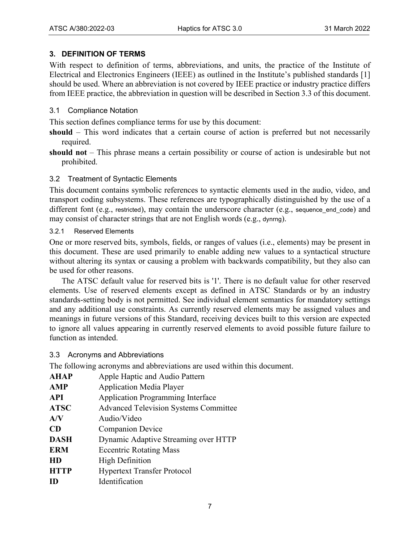## <span id="page-6-0"></span>**3. DEFINITION OF TERMS**

With respect to definition of terms, abbreviations, and units, the practice of the Institute of Electrical and Electronics Engineers (IEEE) as outlined in the Institute's published standards [\[1\]](#page-5-5) should be used. Where an abbreviation is not covered by IEEE practice or industry practice differs from IEEE practice, the abbreviation in question will be described in Sectio[n 3.3](#page-6-4) of this document.

## <span id="page-6-1"></span>3.1 Compliance Notation

This section defines compliance terms for use by this document:

- **should** This word indicates that a certain course of action is preferred but not necessarily required.
- **should not** This phrase means a certain possibility or course of action is undesirable but not prohibited.

## <span id="page-6-2"></span>3.2 Treatment of Syntactic Elements

This document contains symbolic references to syntactic elements used in the audio, video, and transport coding subsystems. These references are typographically distinguished by the use of a different font (e.g., restricted), may contain the underscore character (e.g., sequence end code) and may consist of character strings that are not English words (e.g., dynrng).

## <span id="page-6-3"></span>3.2.1 Reserved Elements

One or more reserved bits, symbols, fields, or ranges of values (i.e., elements) may be present in this document. These are used primarily to enable adding new values to a syntactical structure without altering its syntax or causing a problem with backwards compatibility, but they also can be used for other reasons.

The ATSC default value for reserved bits is '1'. There is no default value for other reserved elements. Use of reserved elements except as defined in ATSC Standards or by an industry standards-setting body is not permitted. See individual element semantics for mandatory settings and any additional use constraints. As currently reserved elements may be assigned values and meanings in future versions of this Standard, receiving devices built to this version are expected to ignore all values appearing in currently reserved elements to avoid possible future failure to function as intended.

## <span id="page-6-4"></span>3.3 Acronyms and Abbreviations

The following acronyms and abbreviations are used within this document.

| <b>AHAP</b> | Apple Haptic and Audio Pattern               |
|-------------|----------------------------------------------|
| <b>AMP</b>  | <b>Application Media Player</b>              |
| API         | <b>Application Programming Interface</b>     |
| <b>ATSC</b> | <b>Advanced Television Systems Committee</b> |
| A/V         | Audio/Video                                  |
| CD          | <b>Companion Device</b>                      |
| DASH        | Dynamic Adaptive Streaming over HTTP         |
| <b>ERM</b>  | <b>Eccentric Rotating Mass</b>               |
| HD          | <b>High Definition</b>                       |
| <b>HTTP</b> | <b>Hypertext Transfer Protocol</b>           |
| ID          | Identification                               |
|             |                                              |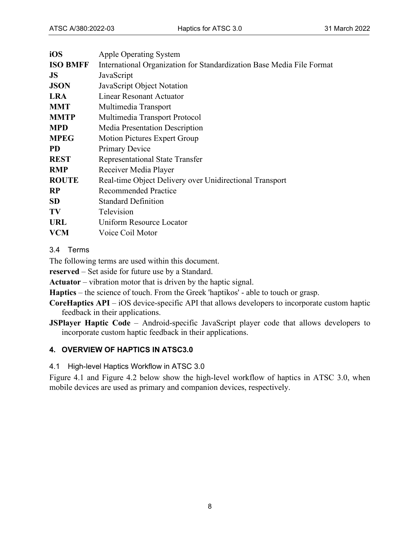| iOS             | <b>Apple Operating System</b>                                         |
|-----------------|-----------------------------------------------------------------------|
| <b>ISO BMFF</b> | International Organization for Standardization Base Media File Format |
| JS              | JavaScript                                                            |
| <b>JSON</b>     | JavaScript Object Notation                                            |
| <b>LRA</b>      | <b>Linear Resonant Actuator</b>                                       |
| <b>MMT</b>      | Multimedia Transport                                                  |
| <b>MMTP</b>     | Multimedia Transport Protocol                                         |
| <b>MPD</b>      | Media Presentation Description                                        |
| <b>MPEG</b>     | <b>Motion Pictures Expert Group</b>                                   |
| <b>PD</b>       | <b>Primary Device</b>                                                 |
| <b>REST</b>     | <b>Representational State Transfer</b>                                |
| <b>RMP</b>      | Receiver Media Player                                                 |
| <b>ROUTE</b>    | Real-time Object Delivery over Unidirectional Transport               |
| RP              | <b>Recommended Practice</b>                                           |
| <b>SD</b>       | <b>Standard Definition</b>                                            |
| TV              | Television                                                            |
| <b>URL</b>      | Uniform Resource Locator                                              |
| <b>VCM</b>      | Voice Coil Motor                                                      |
|                 |                                                                       |

## <span id="page-7-0"></span>3.4 Terms

The following terms are used within this document.

**reserved** – Set aside for future use by a Standard.

**Actuator** – vibration motor that is driven by the haptic signal.

**Haptics** – the science of touch. From the Greek 'haptikos' - able to touch or grasp.

- **CoreHaptics API** iOS device-specific API that allows developers to incorporate custom haptic feedback in their applications.
- **JSPlayer Haptic Code** Android-specific JavaScript player code that allows developers to incorporate custom haptic feedback in their applications.

## <span id="page-7-1"></span>**4. OVERVIEW OF HAPTICS IN ATSC3.0**

<span id="page-7-2"></span>4.1 High-level Haptics Workflow in ATSC 3.0

[Figure 4.1](#page-8-0) and [Figure 4.2](#page-8-1) below show the high-level workflow of haptics in ATSC 3.0, when mobile devices are used as primary and companion devices, respectively.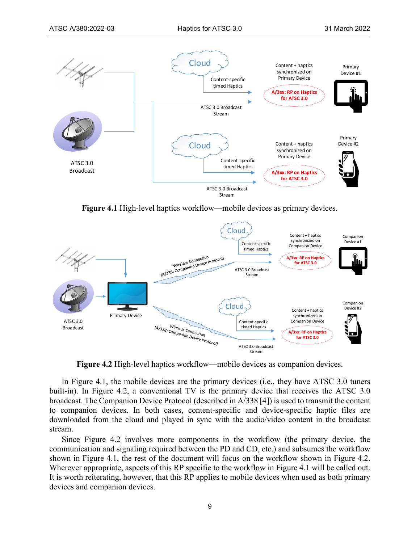

**Figure 4.1** High-level haptics workflow—mobile devices as primary devices.

<span id="page-8-0"></span>

**Figure 4.2** High-level haptics workflow—mobile devices as companion devices.

<span id="page-8-1"></span>In [Figure 4.1,](#page-8-0) the mobile devices are the primary devices (i.e., they have ATSC 3.0 tuners built-in). In [Figure 4.2,](#page-8-1) a conventional TV is the primary device that receives the ATSC 3.0 broadcast. The Companion Device Protocol (described in A/338 [\[4\]\)](#page-5-4) is used to transmit the content to companion devices. In both cases, content-specific and device-specific haptic files are downloaded from the cloud and played in sync with the audio/video content in the broadcast stream.

Since [Figure 4.2](#page-8-1) involves more components in the workflow (the primary device, the communication and signaling required between the PD and CD, etc.) and subsumes the workflow shown in [Figure 4.1,](#page-8-0) the rest of the document will focus on the workflow shown in [Figure 4.2.](#page-8-1) Wherever appropriate, aspects of this RP specific to the workflow in [Figure 4.1](#page-8-0) will be called out. It is worth reiterating, however, that this RP applies to mobile devices when used as both primary devices and companion devices.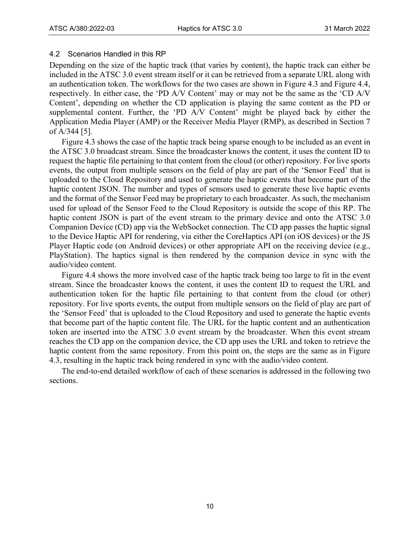## <span id="page-9-0"></span>4.2 Scenarios Handled in this RP

Depending on the size of the haptic track (that varies by content), the haptic track can either be included in the ATSC 3.0 event stream itself or it can be retrieved from a separate URL along with an authentication token. The workflows for the two cases are shown in [Figure 4.3](#page-10-0) and [Figure 4.4,](#page-11-2) respectively. In either case, the 'PD A/V Content' may or may not be the same as the 'CD A/V Content', depending on whether the CD application is playing the same content as the PD or supplemental content. Further, the 'PD A/V Content' might be played back by either the Application Media Player (AMP) or the Receiver Media Player (RMP), as described in Section 7 of A/344 [\[5\].](#page-5-6)

[Figure 4.3](#page-10-0) shows the case of the haptic track being sparse enough to be included as an event in the ATSC 3.0 broadcast stream. Since the broadcaster knows the content, it uses the content ID to request the haptic file pertaining to that content from the cloud (or other) repository. For live sports events, the output from multiple sensors on the field of play are part of the 'Sensor Feed' that is uploaded to the Cloud Repository and used to generate the haptic events that become part of the haptic content JSON. The number and types of sensors used to generate these live haptic events and the format of the Sensor Feed may be proprietary to each broadcaster. As such, the mechanism used for upload of the Sensor Feed to the Cloud Repository is outside the scope of this RP. The haptic content JSON is part of the event stream to the primary device and onto the ATSC 3.0 Companion Device (CD) app via the WebSocket connection. The CD app passes the haptic signal to the Device Haptic API for rendering, via either the CoreHaptics API (on iOS devices) or the JS Player Haptic code (on Android devices) or other appropriate API on the receiving device (e.g., PlayStation). The haptics signal is then rendered by the companion device in sync with the audio/video content.

[Figure 4.4](#page-11-2) shows the more involved case of the haptic track being too large to fit in the event stream. Since the broadcaster knows the content, it uses the content ID to request the URL and authentication token for the haptic file pertaining to that content from the cloud (or other) repository. For live sports events, the output from multiple sensors on the field of play are part of the 'Sensor Feed' that is uploaded to the Cloud Repository and used to generate the haptic events that become part of the haptic content file. The URL for the haptic content and an authentication token are inserted into the ATSC 3.0 event stream by the broadcaster. When this event stream reaches the CD app on the companion device, the CD app uses the URL and token to retrieve the haptic content from the same repository. From this point on, the steps are the same as in [Figure](#page-10-0)  [4.3,](#page-10-0) resulting in the haptic track being rendered in sync with the audio/video content.

The end-to-end detailed workflow of each of these scenarios is addressed in the following two sections.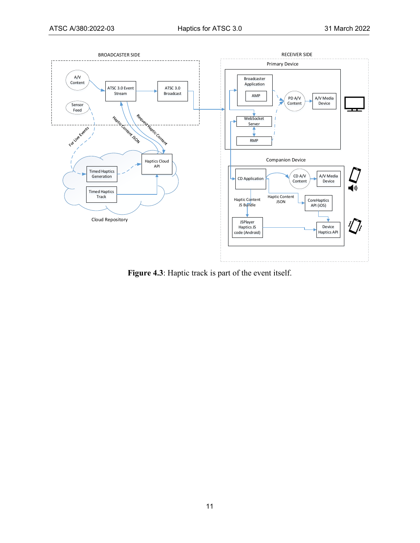

<span id="page-10-0"></span>**Figure 4.3**: Haptic track is part of the event itself.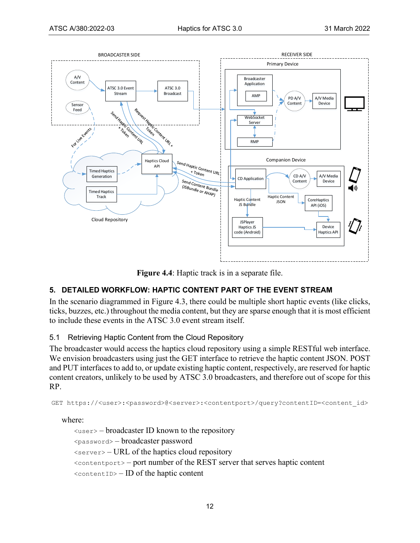

**Figure 4.4**: Haptic track is in a separate file.

## <span id="page-11-2"></span><span id="page-11-0"></span>**5. DETAILED WORKFLOW: HAPTIC CONTENT PART OF THE EVENT STREAM**

In the scenario diagrammed in [Figure 4.3,](#page-10-0) there could be multiple short haptic events (like clicks, ticks, buzzes, etc.) throughout the media content, but they are sparse enough that it is most efficient to include these events in the ATSC 3.0 event stream itself.

## <span id="page-11-1"></span>5.1 Retrieving Haptic Content from the Cloud Repository

The broadcaster would access the haptics cloud repository using a simple RESTful web interface. We envision broadcasters using just the GET interface to retrieve the haptic content JSON. POST and PUT interfaces to add to, or update existing haptic content, respectively, are reserved for haptic content creators, unlikely to be used by ATSC 3.0 broadcasters, and therefore out of scope for this RP.

GET https://<user>:<password>@<server>:<contentport>/query?contentID=<content\_id>

## where:

 $\langle$ user $\rangle$  – broadcaster ID known to the repository <password> – broadcaster password <server> – URL of the haptics cloud repository  $\zeta$  content port  $>$  – port number of the REST server that serves haptic content  $\text{1}$  <contentID> – ID of the haptic content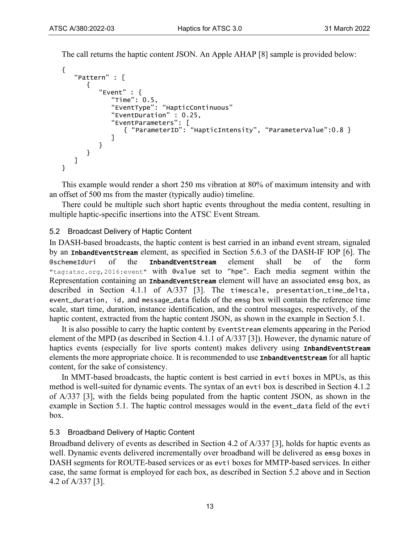The call returns the haptic content JSON. An Apple AHAP [\[8\]](#page-5-7) sample is provided below:

```
{
   "Pattern" : [
      {
          "Event" : {
             "Time": 0.5,
             "EventType": "HapticContinuous"
             "EventDuration" : 0.25,
             "EventParameters": [
                { "ParameterID": "HapticIntensity", "ParameterValue":0.8 }
             ]
         }
      }
   ]
}
```
This example would render a short 250 ms vibration at 80% of maximum intensity and with an offset of 500 ms from the master (typically audio) timeline.

There could be multiple such short haptic events throughout the media content, resulting in multiple haptic-specific insertions into the ATSC Event Stream.

## <span id="page-12-0"></span>5.2 Broadcast Delivery of Haptic Content

In DASH-based broadcasts, the haptic content is best carried in an inband event stream, signaled by an InbandEventStream element, as specified in Section 5.6.3 of the DASH-IF IOP [\[6\].](#page-5-8) The @schemeIdUri of the InbandEventStream element shall be of the form "tag:atsc.org,2016:event" with @value set to "hpe". Each media segment within the Representation containing an **InbandEventStream** element will have an associated emsg box, as described in Section 4.1.1 of A/337 [\[3\].](#page-5-9) The timescale, presentation\_time\_delta, event\_duration, id, and message\_data fields of the emsg box will contain the reference time scale, start time, duration, instance identification, and the control messages, respectively, of the haptic content, extracted from the haptic content JSON, as shown in the example in Section [5.1.](#page-11-1)

It is also possible to carry the haptic content by EventStream elements appearing in the Period element of the MPD (as described in Section 4.1.1 of A/337 [\[3\]\)](#page-5-9). However, the dynamic nature of haptics events (especially for live sports content) makes delivery using InbandEventStream elements the more appropriate choice. It is recommended to use **InbandEventStream** for all haptic content, for the sake of consistency.

In MMT-based broadcasts, the haptic content is best carried in evti boxes in MPUs, as this method is well-suited for dynamic events. The syntax of an evti box is described in Section 4.1.2 of A/337 [\[3\],](#page-5-9) with the fields being populated from the haptic content JSON, as shown in the example in Section [5.1.](#page-11-1) The haptic control messages would in the event\_data field of the evti box.

#### <span id="page-12-1"></span>5.3 Broadband Delivery of Haptic Content

Broadband delivery of events as described in Section 4.2 of A/337 [\[3\],](#page-5-9) holds for haptic events as well. Dynamic events delivered incrementally over broadband will be delivered as emsg boxes in DASH segments for ROUTE-based services or as evti boxes for MMTP-based services. In either case, the same format is employed for each box, as described in Section [5.2](#page-12-0) above and in Section 4.2 of A/337 [\[3\].](#page-5-9)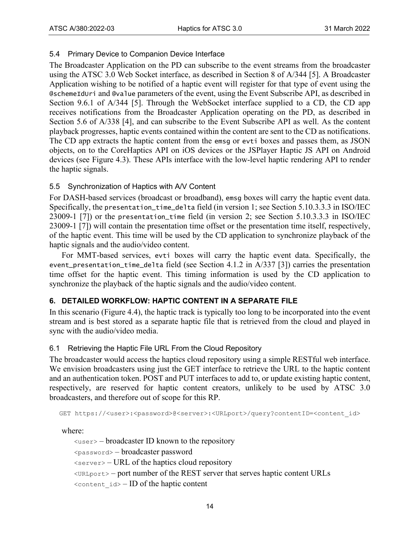## <span id="page-13-0"></span>5.4 Primary Device to Companion Device Interface

The Broadcaster Application on the PD can subscribe to the event streams from the broadcaster using the ATSC 3.0 Web Socket interface, as described in Section 8 of A/344 [\[5\].](#page-5-6) A Broadcaster Application wishing to be notified of a haptic event will register for that type of event using the @schemeIdUri and @value parameters of the event, using the Event Subscribe API, as described in Section 9.6.1 of A/344 [\[5\].](#page-5-6) Through the WebSocket interface supplied to a CD, the CD app receives notifications from the Broadcaster Application operating on the PD, as described in Section 5.6 of A/338 [\[4\],](#page-5-4) and can subscribe to the Event Subscribe API as well. As the content playback progresses, haptic events contained within the content are sent to the CD as notifications. The CD app extracts the haptic content from the emsg or evti boxes and passes them, as JSON objects, on to the CoreHaptics API on iOS devices or the JSPlayer Haptic JS API on Android devices (see [Figure 4.3\)](#page-10-0). These APIs interface with the low-level haptic rendering API to render the haptic signals.

## <span id="page-13-1"></span>5.5 Synchronization of Haptics with A/V Content

For DASH-based services (broadcast or broadband), emsg boxes will carry the haptic event data. Specifically, the presentation\_time\_delta field (in version 1; see Section 5.10.3.3.3 in ISO/IEC 23009-1 [\[7\]\)](#page-5-10) or the presentation\_time field (in version 2; see Section 5.10.3.3.3 in ISO/IEC 23009-1 [\[7\]\)](#page-5-10) will contain the presentation time offset or the presentation time itself, respectively, of the haptic event. This time will be used by the CD application to synchronize playback of the haptic signals and the audio/video content.

For MMT-based services, evti boxes will carry the haptic event data. Specifically, the event\_presentation\_time\_delta field (see Section 4.1.2 in A/337 [\[3\]\)](#page-5-9) carries the presentation time offset for the haptic event. This timing information is used by the CD application to synchronize the playback of the haptic signals and the audio/video content.

## <span id="page-13-2"></span>**6. DETAILED WORKFLOW: HAPTIC CONTENT IN A SEPARATE FILE**

In this scenario [\(Figure 4.4\)](#page-11-2), the haptic track is typically too long to be incorporated into the event stream and is best stored as a separate haptic file that is retrieved from the cloud and played in sync with the audio/video media.

## <span id="page-13-3"></span>6.1 Retrieving the Haptic File URL From the Cloud Repository

The broadcaster would access the haptics cloud repository using a simple RESTful web interface. We envision broadcasters using just the GET interface to retrieve the URL to the haptic content and an authentication token. POST and PUT interfaces to add to, or update existing haptic content, respectively, are reserved for haptic content creators, unlikely to be used by ATSC 3.0 broadcasters, and therefore out of scope for this RP.

GET https://<user>:<password>@<server>:<URLport>/query?contentID=<content\_id>

where:

 $\langle$ user> – broadcaster ID known to the repository <password> – broadcaster password  $\langle$ server $\rangle$  – URL of the haptics cloud repository  $\langle$ URLport> – port number of the REST server that serves haptic content URLs  $\epsilon$  <content id> – ID of the haptic content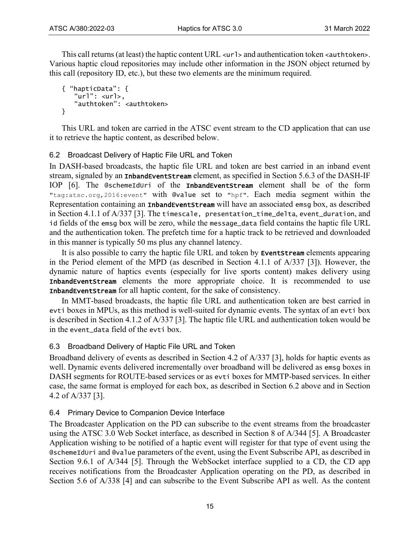This call returns (at least) the haptic content URL <url> and authentication token <authtoken>. Various haptic cloud repositories may include other information in the JSON object returned by this call (repository ID, etc.), but these two elements are the minimum required.

```
{ "hapticData": {
   "url": <url>,
   "authtoken": <authtoken>
}
```
This URL and token are carried in the ATSC event stream to the CD application that can use it to retrieve the haptic content, as described below.

## <span id="page-14-0"></span>6.2 Broadcast Delivery of Haptic File URL and Token

In DASH-based broadcasts, the haptic file URL and token are best carried in an inband event stream, signaled by an InbandEventStream element, as specified in Section 5.6.3 of the DASH-IF IOP [\[6\].](#page-5-8) The @schemeIdUri of the InbandEventStream element shall be of the form "tag:atsc.org,2016:event" with @value set to "hpf". Each media segment within the Representation containing an InbandEventStream will have an associated emsg box, as described in Section 4.1.1 of A/337 [\[3\].](#page-5-9) The timescale, presentation\_time\_delta, event\_duration, and id fields of the emsg box will be zero, while the message\_data field contains the haptic file URL and the authentication token. The prefetch time for a haptic track to be retrieved and downloaded in this manner is typically 50 ms plus any channel latency.

It is also possible to carry the haptic file URL and token by **EventStream** elements appearing in the Period element of the MPD (as described in Section 4.1.1 of A/337 [\[3\]\)](#page-5-9). However, the dynamic nature of haptics events (especially for live sports content) makes delivery using InbandEventStream elements the more appropriate choice. It is recommended to use InbandEventStream for all haptic content, for the sake of consistency.

In MMT-based broadcasts, the haptic file URL and authentication token are best carried in evti boxes in MPUs, as this method is well-suited for dynamic events. The syntax of an evti box is described in Section 4.1.2 of A/337 [\[3\].](#page-5-9) The haptic file URL and authentication token would be in the event data field of the evti box.

## <span id="page-14-1"></span>6.3 Broadband Delivery of Haptic File URL and Token

Broadband delivery of events as described in Section 4.2 of A/337 [\[3\],](#page-5-9) holds for haptic events as well. Dynamic events delivered incrementally over broadband will be delivered as emsg boxes in DASH segments for ROUTE-based services or as evti boxes for MMTP-based services. In either case, the same format is employed for each box, as described in Section [6.2](#page-14-0) above and in Section 4.2 of A/337 [\[3\].](#page-5-9)

## <span id="page-14-2"></span>6.4 Primary Device to Companion Device Interface

The Broadcaster Application on the PD can subscribe to the event streams from the broadcaster using the ATSC 3.0 Web Socket interface, as described in Section 8 of A/344 [\[5\].](#page-5-6) A Broadcaster Application wishing to be notified of a haptic event will register for that type of event using the @schemeIdUri and @value parameters of the event, using the Event Subscribe API, as described in Section 9.6.1 of A/344 [\[5\].](#page-5-6) Through the WebSocket interface supplied to a CD, the CD app receives notifications from the Broadcaster Application operating on the PD, as described in Section 5.6 of A/338 [\[4\]](#page-5-4) and can subscribe to the Event Subscribe API as well. As the content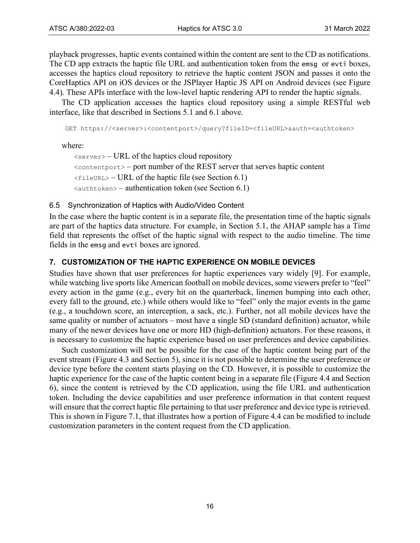playback progresses, haptic events contained within the content are sent to the CD as notifications. The CD app extracts the haptic file URL and authentication token from the emsg or evti boxes, accesses the haptics cloud repository to retrieve the haptic content JSON and passes it onto the CoreHaptics API on iOS devices or the JSPlayer Haptic JS API on Android devices (see [Figure](#page-11-2)  [4.4\)](#page-11-2). These APIs interface with the low-level haptic rendering API to render the haptic signals.

The CD application accesses the haptics cloud repository using a simple RESTful web interface, like that described in Sections [5.1](#page-11-1) and [6.1](#page-13-3) above.

GET https://<server>:<contentport>/query?fileID=<fileURL>&auth=<authtoken>

where:

 $\langle$ server $\rangle$  – URL of the haptics cloud repository <contentport> – port number of the REST server that serves haptic content  $\leq$ fileURL> – URL of the haptic file (see Section [6.1\)](#page-13-3)  $\langle$ authtoken> – authentication token (see Section [6.1\)](#page-13-3)

<span id="page-15-0"></span>6.5 Synchronization of Haptics with Audio/Video Content

In the case where the haptic content is in a separate file, the presentation time of the haptic signals are part of the haptics data structure. For example, in Section [5.1,](#page-11-1) the AHAP sample has a Time field that represents the offset of the haptic signal with respect to the audio timeline. The time fields in the emsg and evti boxes are ignored.

## <span id="page-15-1"></span>**7. CUSTOMIZATION OF THE HAPTIC EXPERIENCE ON MOBILE DEVICES**

Studies have shown that user preferences for haptic experiences vary widely [\[9\].](#page-5-11) For example, while watching live sports like American football on mobile devices, some viewers prefer to "feel" every action in the game (e.g., every hit on the quarterback, linemen bumping into each other, every fall to the ground, etc.) while others would like to "feel" only the major events in the game (e.g., a touchdown score, an interception, a sack, etc.). Further, not all mobile devices have the same quality or number of actuators – most have a single SD (standard definition) actuator, while many of the newer devices have one or more HD (high-definition) actuators. For these reasons, it is necessary to customize the haptic experience based on user preferences and device capabilities.

Such customization will not be possible for the case of the haptic content being part of the event stream [\(Figure 4.3](#page-10-0) and Section [5\)](#page-11-0), since it is not possible to determine the user preference or device type before the content starts playing on the CD. However, it is possible to customize the haptic experience for the case of the haptic content being in a separate file [\(Figure 4.4](#page-11-2) and Section [6\)](#page-13-2), since the content is retrieved by the CD application, using the file URL and authentication token. Including the device capabilities and user preference information in that content request will ensure that the correct haptic file pertaining to that user preference and device type is retrieved. This is shown in [Figure 7.1,](#page-16-1) that illustrates how a portion of [Figure 4.4](#page-11-2) can be modified to include customization parameters in the content request from the CD application.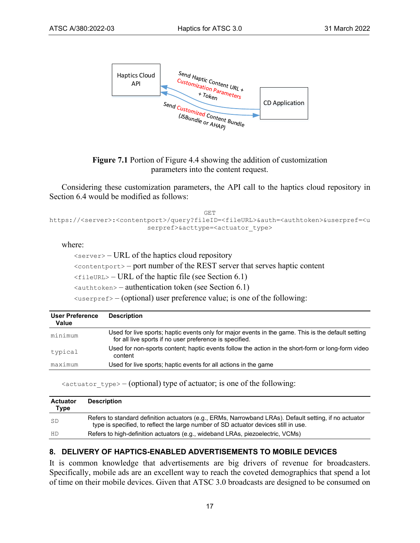

**Figure 7.1** Portion of [Figure 4.4](#page-11-2) showing the addition of customization parameters into the content request.

<span id="page-16-1"></span>Considering these customization parameters, the API call to the haptics cloud repository in Section [6.4](#page-14-2) would be modified as follows:

```
GET 
https://<server>:<contentport>/query?fileID=<fileURL>&auth=<authtoken>&userpref=<u
                         serpref>&acttype=<actuator_type>
```
#### where:

 $\langle$ server $\rangle$  – URL of the haptics cloud repository  $\zeta$  content port  $>$  – port number of the REST server that serves haptic content  $\leq$ fileURL> – URL of the haptic file (see Section [6.1\)](#page-13-3)  $\langle$  authtoken> – authentication token (see Section [6.1\)](#page-13-3)  $\langle$ userpref> – (optional) user preference value; is one of the following:

| <b>User Preference</b><br>Value | <b>Description</b>                                                                                                                                            |
|---------------------------------|---------------------------------------------------------------------------------------------------------------------------------------------------------------|
| minimum                         | Used for live sports; haptic events only for major events in the game. This is the default setting<br>for all live sports if no user preference is specified. |
| typical                         | Used for non-sports content; haptic events follow the action in the short-form or long-form video<br>content                                                  |
| maximum                         | Used for live sports; haptic events for all actions in the game                                                                                               |

 $\epsilon$  actuator\_type> – (optional) type of actuator; is one of the following:

| <b>Actuator</b><br>Type | <b>Description</b>                                                                                                                                                                            |
|-------------------------|-----------------------------------------------------------------------------------------------------------------------------------------------------------------------------------------------|
| SD                      | Refers to standard definition actuators (e.g., ERMs, Narrowband LRAs). Default setting, if no actuator<br>type is specified, to reflect the large number of SD actuator devices still in use. |
| HD                      | Refers to high-definition actuators (e.g., wideband LRAs, piezoelectric, VCMs)                                                                                                                |

## <span id="page-16-0"></span>**8. DELIVERY OF HAPTICS-ENABLED ADVERTISEMENTS TO MOBILE DEVICES**

It is common knowledge that advertisements are big drivers of revenue for broadcasters. Specifically, mobile ads are an excellent way to reach the coveted demographics that spend a lot of time on their mobile devices. Given that ATSC 3.0 broadcasts are designed to be consumed on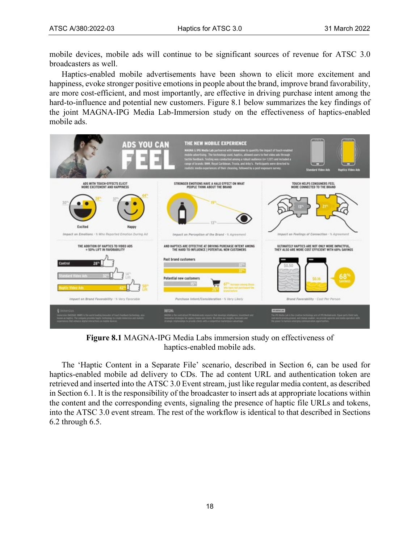mobile devices, mobile ads will continue to be significant sources of revenue for ATSC 3.0 broadcasters as well.

Haptics-enabled mobile advertisements have been shown to elicit more excitement and happiness, evoke stronger positive emotions in people about the brand, improve brand favorability, are more cost-efficient, and most importantly, are effective in driving purchase intent among the hard-to-influence and potential new customers. [Figure 8.1](#page-17-0) below summarizes the key findings of the joint MAGNA-IPG Media Lab-Immersion study on the effectiveness of haptics-enabled mobile ads.



**Figure 8.1** MAGNA-IPG Media Labs immersion study on effectiveness of haptics-enabled mobile ads.

<span id="page-17-0"></span>The 'Haptic Content in a Separate File' scenario, described in Section [6,](#page-13-2) can be used for haptics-enabled mobile ad delivery to CDs. The ad content URL and authentication token are retrieved and inserted into the ATSC 3.0 Event stream, just like regular media content, as described in Section [6.1.](#page-13-3) It is the responsibility of the broadcaster to insert ads at appropriate locations within the content and the corresponding events, signaling the presence of haptic file URLs and tokens, into the ATSC 3.0 event stream. The rest of the workflow is identical to that described in Sections [6.2](#page-14-0) through [6.5.](#page-15-0)